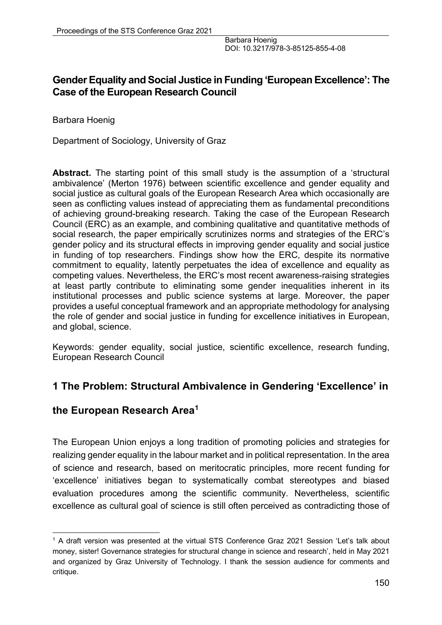## **Gender Equality and Social Justice in Funding 'European Excellence': The Case of the European Research Council**

Barbara Hoenig

Department of Sociology, University of Graz

**Abstract.** The starting point of this small study is the assumption of a 'structural ambivalence' (Merton 1976) between scientific excellence and gender equality and social justice as cultural goals of the European Research Area which occasionally are seen as conflicting values instead of appreciating them as fundamental preconditions of achieving ground-breaking research. Taking the case of the European Research Council (ERC) as an example, and combining qualitative and quantitative methods of social research, the paper empirically scrutinizes norms and strategies of the ERC's gender policy and its structural effects in improving gender equality and social justice in funding of top researchers. Findings show how the ERC, despite its normative commitment to equality, latently perpetuates the idea of excellence and equality as competing values. Nevertheless, the ERC's most recent awareness-raising strategies at least partly contribute to eliminating some gender inequalities inherent in its institutional processes and public science systems at large. Moreover, the paper provides a useful conceptual framework and an appropriate methodology for analysing the role of gender and social justice in funding for excellence initiatives in European, and global, science.

Keywords: gender equality, social justice, scientific excellence, research funding, European Research Council

## **1 The Problem: Structural Ambivalence in Gendering 'Excellence' in**

## **the European Research Area1**

The European Union enjoys a long tradition of promoting policies and strategies for realizing gender equality in the labour market and in political representation. In the area of science and research, based on meritocratic principles, more recent funding for 'excellence' initiatives began to systematically combat stereotypes and biased evaluation procedures among the scientific community. Nevertheless, scientific excellence as cultural goal of science is still often perceived as contradicting those of

<sup>&</sup>lt;sup>1</sup> A draft version was presented at the virtual STS Conference Graz 2021 Session 'Let's talk about money, sister! Governance strategies for structural change in science and research', held in May 2021 and organized by Graz University of Technology. I thank the session audience for comments and critique.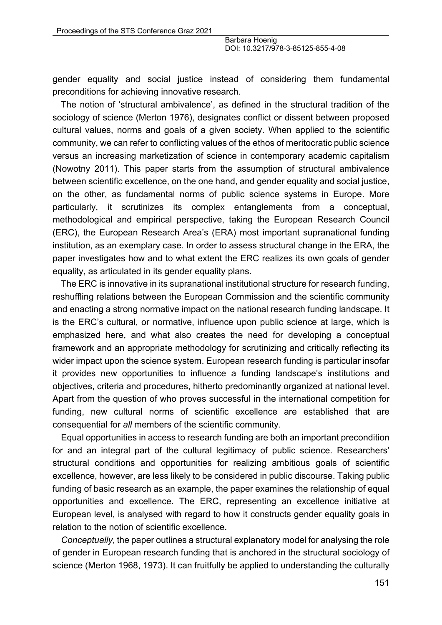gender equality and social justice instead of considering them fundamental preconditions for achieving innovative research.

The notion of 'structural ambivalence', as defined in the structural tradition of the sociology of science (Merton 1976), designates conflict or dissent between proposed cultural values, norms and goals of a given society. When applied to the scientific community, we can refer to conflicting values of the ethos of meritocratic public science versus an increasing marketization of science in contemporary academic capitalism (Nowotny 2011). This paper starts from the assumption of structural ambivalence between scientific excellence, on the one hand, and gender equality and social justice, on the other, as fundamental norms of public science systems in Europe. More particularly, it scrutinizes its complex entanglements from a conceptual, methodological and empirical perspective, taking the European Research Council (ERC), the European Research Area's (ERA) most important supranational funding institution, as an exemplary case. In order to assess structural change in the ERA, the paper investigates how and to what extent the ERC realizes its own goals of gender equality, as articulated in its gender equality plans.

The ERC is innovative in its supranational institutional structure for research funding, reshuffling relations between the European Commission and the scientific community and enacting a strong normative impact on the national research funding landscape. It is the ERC's cultural, or normative, influence upon public science at large, which is emphasized here, and what also creates the need for developing a conceptual framework and an appropriate methodology for scrutinizing and critically reflecting its wider impact upon the science system. European research funding is particular insofar it provides new opportunities to influence a funding landscape's institutions and objectives, criteria and procedures, hitherto predominantly organized at national level. Apart from the question of who proves successful in the international competition for funding, new cultural norms of scientific excellence are established that are consequential for *all* members of the scientific community.

Equal opportunities in access to research funding are both an important precondition for and an integral part of the cultural legitimacy of public science. Researchers' structural conditions and opportunities for realizing ambitious goals of scientific excellence, however, are less likely to be considered in public discourse. Taking public funding of basic research as an example, the paper examines the relationship of equal opportunities and excellence. The ERC, representing an excellence initiative at European level, is analysed with regard to how it constructs gender equality goals in relation to the notion of scientific excellence.

*Conceptually*, the paper outlines a structural explanatory model for analysing the role of gender in European research funding that is anchored in the structural sociology of science (Merton 1968, 1973). It can fruitfully be applied to understanding the culturally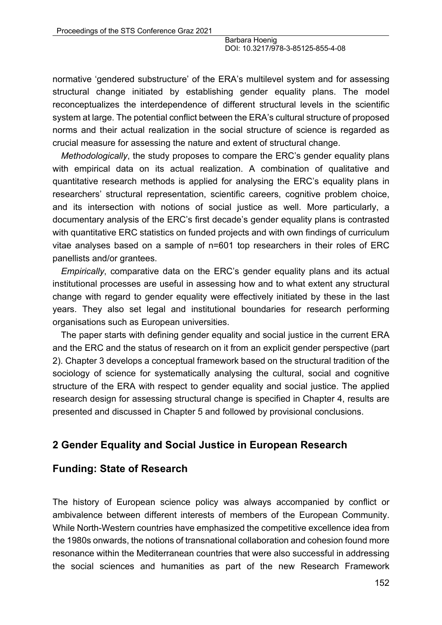normative 'gendered substructure' of the ERA's multilevel system and for assessing structural change initiated by establishing gender equality plans. The model reconceptualizes the interdependence of different structural levels in the scientific system at large. The potential conflict between the ERA's cultural structure of proposed norms and their actual realization in the social structure of science is regarded as crucial measure for assessing the nature and extent of structural change.

*Methodologically*, the study proposes to compare the ERC's gender equality plans with empirical data on its actual realization. A combination of qualitative and quantitative research methods is applied for analysing the ERC's equality plans in researchers' structural representation, scientific careers, cognitive problem choice, and its intersection with notions of social justice as well. More particularly, a documentary analysis of the ERC's first decade's gender equality plans is contrasted with quantitative ERC statistics on funded projects and with own findings of curriculum vitae analyses based on a sample of n=601 top researchers in their roles of ERC panellists and/or grantees.

*Empirically*, comparative data on the ERC's gender equality plans and its actual institutional processes are useful in assessing how and to what extent any structural change with regard to gender equality were effectively initiated by these in the last years. They also set legal and institutional boundaries for research performing organisations such as European universities.

The paper starts with defining gender equality and social justice in the current ERA and the ERC and the status of research on it from an explicit gender perspective (part 2). Chapter 3 develops a conceptual framework based on the structural tradition of the sociology of science for systematically analysing the cultural, social and cognitive structure of the ERA with respect to gender equality and social justice. The applied research design for assessing structural change is specified in Chapter 4, results are presented and discussed in Chapter 5 and followed by provisional conclusions.

## **2 Gender Equality and Social Justice in European Research**

## **Funding: State of Research**

The history of European science policy was always accompanied by conflict or ambivalence between different interests of members of the European Community. While North-Western countries have emphasized the competitive excellence idea from the 1980s onwards, the notions of transnational collaboration and cohesion found more resonance within the Mediterranean countries that were also successful in addressing the social sciences and humanities as part of the new Research Framework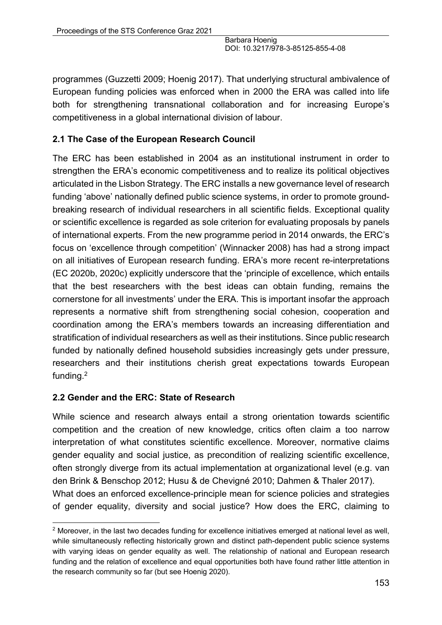programmes (Guzzetti 2009; Hoenig 2017). That underlying structural ambivalence of European funding policies was enforced when in 2000 the ERA was called into life both for strengthening transnational collaboration and for increasing Europe's competitiveness in a global international division of labour.

## **2.1 The Case of the European Research Council**

The ERC has been established in 2004 as an institutional instrument in order to strengthen the ERA's economic competitiveness and to realize its political objectives articulated in the Lisbon Strategy. The ERC installs a new governance level of research funding 'above' nationally defined public science systems, in order to promote groundbreaking research of individual researchers in all scientific fields. Exceptional quality or scientific excellence is regarded as sole criterion for evaluating proposals by panels of international experts. From the new programme period in 2014 onwards, the ERC's focus on 'excellence through competition' (Winnacker 2008) has had a strong impact on all initiatives of European research funding. ERA's more recent re-interpretations (EC 2020b, 2020c) explicitly underscore that the 'principle of excellence, which entails that the best researchers with the best ideas can obtain funding, remains the cornerstone for all investments' under the ERA. This is important insofar the approach represents a normative shift from strengthening social cohesion, cooperation and coordination among the ERA's members towards an increasing differentiation and stratification of individual researchers as well as their institutions. Since public research funded by nationally defined household subsidies increasingly gets under pressure, researchers and their institutions cherish great expectations towards European funding.2

#### **2.2 Gender and the ERC: State of Research**

While science and research always entail a strong orientation towards scientific competition and the creation of new knowledge, critics often claim a too narrow interpretation of what constitutes scientific excellence. Moreover, normative claims gender equality and social justice, as precondition of realizing scientific excellence, often strongly diverge from its actual implementation at organizational level (e.g. van den Brink & Benschop 2012; Husu & de Chevigné 2010; Dahmen & Thaler 2017). What does an enforced excellence-principle mean for science policies and strategies of gender equality, diversity and social justice? How does the ERC, claiming to

 $2$  Moreover, in the last two decades funding for excellence initiatives emerged at national level as well, while simultaneously reflecting historically grown and distinct path-dependent public science systems with varying ideas on gender equality as well. The relationship of national and European research funding and the relation of excellence and equal opportunities both have found rather little attention in the research community so far (but see Hoenig 2020).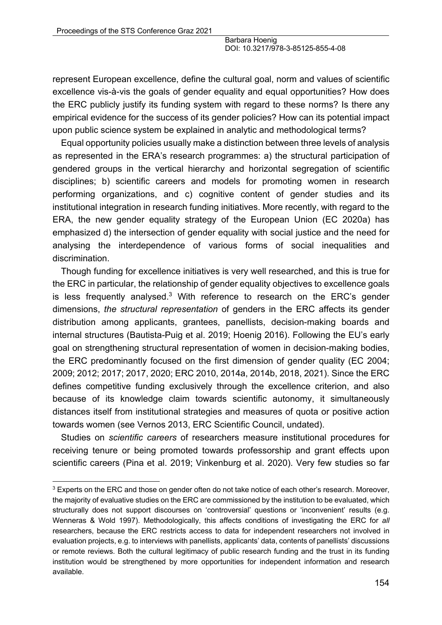represent European excellence, define the cultural goal, norm and values of scientific excellence vis-à-vis the goals of gender equality and equal opportunities? How does the ERC publicly justify its funding system with regard to these norms? Is there any empirical evidence for the success of its gender policies? How can its potential impact upon public science system be explained in analytic and methodological terms?

Equal opportunity policies usually make a distinction between three levels of analysis as represented in the ERA's research programmes: a) the structural participation of gendered groups in the vertical hierarchy and horizontal segregation of scientific disciplines; b) scientific careers and models for promoting women in research performing organizations, and c) cognitive content of gender studies and its institutional integration in research funding initiatives. More recently, with regard to the ERA, the new gender equality strategy of the European Union (EC 2020a) has emphasized d) the intersection of gender equality with social justice and the need for analysing the interdependence of various forms of social inequalities and discrimination.

Though funding for excellence initiatives is very well researched, and this is true for the ERC in particular, the relationship of gender equality objectives to excellence goals is less frequently analysed.<sup>3</sup> With reference to research on the ERC's gender dimensions, *the structural representation* of genders in the ERC affects its gender distribution among applicants, grantees, panellists, decision-making boards and internal structures (Bautista-Puig et al. 2019; Hoenig 2016). Following the EU's early goal on strengthening structural representation of women in decision-making bodies, the ERC predominantly focused on the first dimension of gender quality (EC 2004; 2009; 2012; 2017; 2017, 2020; ERC 2010, 2014a, 2014b, 2018, 2021). Since the ERC defines competitive funding exclusively through the excellence criterion, and also because of its knowledge claim towards scientific autonomy, it simultaneously distances itself from institutional strategies and measures of quota or positive action towards women (see Vernos 2013, ERC Scientific Council, undated).

Studies on *scientific careers* of researchers measure institutional procedures for receiving tenure or being promoted towards professorship and grant effects upon scientific careers (Pina et al. 2019; Vinkenburg et al. 2020). Very few studies so far

<sup>&</sup>lt;sup>3</sup> Experts on the ERC and those on gender often do not take notice of each other's research. Moreover, the majority of evaluative studies on the ERC are commissioned by the institution to be evaluated, which structurally does not support discourses on 'controversial' questions or 'inconvenient' results (e.g. Wenneras & Wold 1997). Methodologically, this affects conditions of investigating the ERC for *all*  researchers, because the ERC restricts access to data for independent researchers not involved in evaluation projects, e.g. to interviews with panellists, applicants' data, contents of panellists' discussions or remote reviews. Both the cultural legitimacy of public research funding and the trust in its funding institution would be strengthened by more opportunities for independent information and research available.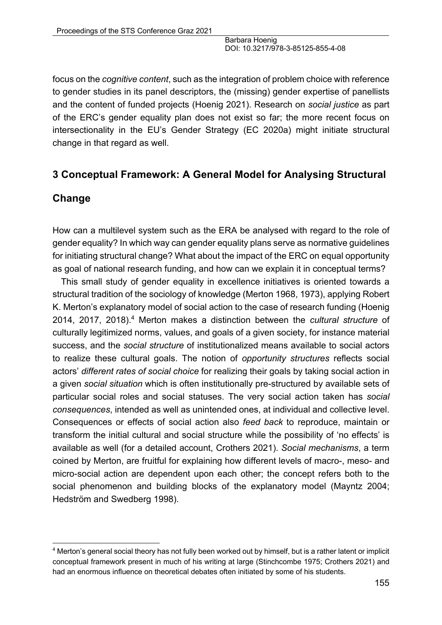focus on the *cognitive content*, such as the integration of problem choice with reference to gender studies in its panel descriptors, the (missing) gender expertise of panellists and the content of funded projects (Hoenig 2021). Research on *social justice* as part of the ERC's gender equality plan does not exist so far; the more recent focus on intersectionality in the EU's Gender Strategy (EC 2020a) might initiate structural change in that regard as well.

## **3 Conceptual Framework: A General Model for Analysing Structural**

## **Change**

How can a multilevel system such as the ERA be analysed with regard to the role of gender equality? In which way can gender equality plans serve as normative guidelines for initiating structural change? What about the impact of the ERC on equal opportunity as goal of national research funding, and how can we explain it in conceptual terms?

This small study of gender equality in excellence initiatives is oriented towards a structural tradition of the sociology of knowledge (Merton 1968, 1973), applying Robert K. Merton's explanatory model of social action to the case of research funding (Hoenig 2014, 2017, 2018).4 Merton makes a distinction between the *cultural structure* of culturally legitimized norms, values, and goals of a given society, for instance material success, and the *social structure* of institutionalized means available to social actors to realize these cultural goals. The notion of *opportunity structures* reflects social actors' *different rates of social choice* for realizing their goals by taking social action in a given *social situation* which is often institutionally pre-structured by available sets of particular social roles and social statuses. The very social action taken has *social consequences*, intended as well as unintended ones, at individual and collective level. Consequences or effects of social action also *feed back* to reproduce, maintain or transform the initial cultural and social structure while the possibility of 'no effects' is available as well (for a detailed account, Crothers 2021). *Social mechanisms*, a term coined by Merton, are fruitful for explaining how different levels of macro-, meso- and micro-social action are dependent upon each other; the concept refers both to the social phenomenon and building blocks of the explanatory model (Mayntz 2004; Hedström and Swedberg 1998).

<sup>4</sup> Merton's general social theory has not fully been worked out by himself, but is a rather latent or implicit conceptual framework present in much of his writing at large (Stinchcombe 1975; Crothers 2021) and had an enormous influence on theoretical debates often initiated by some of his students.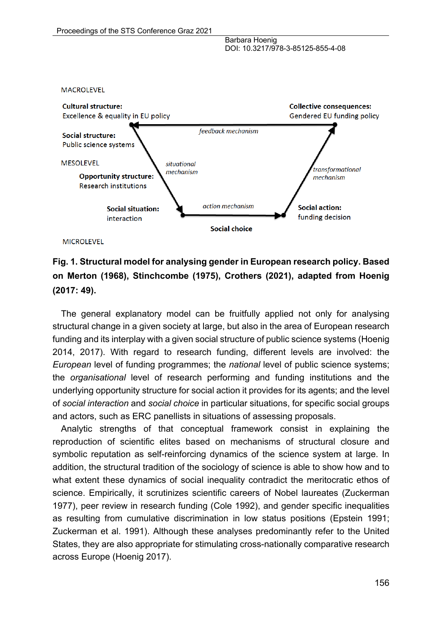

**MICROLEVEL** 

**MACROLEVEL** 



The general explanatory model can be fruitfully applied not only for analysing structural change in a given society at large, but also in the area of European research funding and its interplay with a given social structure of public science systems (Hoenig 2014, 2017). With regard to research funding, different levels are involved: the *European* level of funding programmes; the *national* level of public science systems; the *organisational* level of research performing and funding institutions and the underlying opportunity structure for social action it provides for its agents; and the level of *social interaction* and *social choice* in particular situations, for specific social groups and actors, such as ERC panellists in situations of assessing proposals.

Analytic strengths of that conceptual framework consist in explaining the reproduction of scientific elites based on mechanisms of structural closure and symbolic reputation as self-reinforcing dynamics of the science system at large. In addition, the structural tradition of the sociology of science is able to show how and to what extent these dynamics of social inequality contradict the meritocratic ethos of science. Empirically, it scrutinizes scientific careers of Nobel laureates (Zuckerman 1977), peer review in research funding (Cole 1992), and gender specific inequalities as resulting from cumulative discrimination in low status positions (Epstein 1991; Zuckerman et al. 1991). Although these analyses predominantly refer to the United States, they are also appropriate for stimulating cross-nationally comparative research across Europe (Hoenig 2017).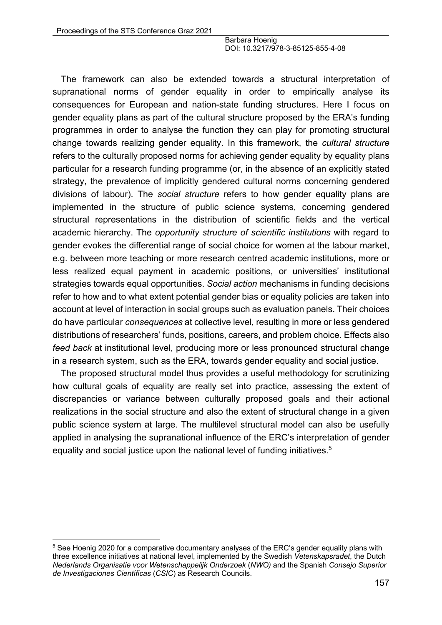The framework can also be extended towards a structural interpretation of supranational norms of gender equality in order to empirically analyse its consequences for European and nation-state funding structures. Here I focus on gender equality plans as part of the cultural structure proposed by the ERA's funding programmes in order to analyse the function they can play for promoting structural change towards realizing gender equality. In this framework, the *cultural structure* refers to the culturally proposed norms for achieving gender equality by equality plans particular for a research funding programme (or, in the absence of an explicitly stated strategy, the prevalence of implicitly gendered cultural norms concerning gendered divisions of labour). The *social structure* refers to how gender equality plans are implemented in the structure of public science systems, concerning gendered structural representations in the distribution of scientific fields and the vertical academic hierarchy. The *opportunity structure of scientific institutions* with regard to gender evokes the differential range of social choice for women at the labour market, e.g. between more teaching or more research centred academic institutions, more or less realized equal payment in academic positions, or universities' institutional strategies towards equal opportunities. *Social action* mechanisms in funding decisions refer to how and to what extent potential gender bias or equality policies are taken into account at level of interaction in social groups such as evaluation panels. Their choices do have particular *consequences* at collective level, resulting in more or less gendered distributions of researchers' funds, positions, careers, and problem choice. Effects also *feed back* at institutional level, producing more or less pronounced structural change in a research system, such as the ERA, towards gender equality and social justice.

The proposed structural model thus provides a useful methodology for scrutinizing how cultural goals of equality are really set into practice, assessing the extent of discrepancies or variance between culturally proposed goals and their actional realizations in the social structure and also the extent of structural change in a given public science system at large. The multilevel structural model can also be usefully applied in analysing the supranational influence of the ERC's interpretation of gender equality and social justice upon the national level of funding initiatives.<sup>5</sup>

<sup>&</sup>lt;sup>5</sup> See Hoenig 2020 for a comparative documentary analyses of the ERC's gender equality plans with three excellence initiatives at national level, implemented by the Swedish *Vetenskapsradet*, the Dutch *Nederlands Organisatie voor Wetenschappelijk Onderzoek* (*NWO)* and the Spanish *Consejo Superior de Investigaciones Científicas* (*CSIC*) as Research Councils.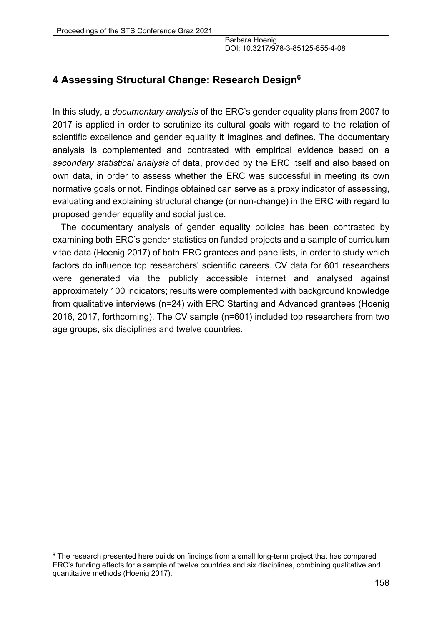# **4 Assessing Structural Change: Research Design6**

In this study, a *documentary analysis* of the ERC's gender equality plans from 2007 to 2017 is applied in order to scrutinize its cultural goals with regard to the relation of scientific excellence and gender equality it imagines and defines. The documentary analysis is complemented and contrasted with empirical evidence based on a *secondary statistical analysis* of data, provided by the ERC itself and also based on own data, in order to assess whether the ERC was successful in meeting its own normative goals or not. Findings obtained can serve as a proxy indicator of assessing, evaluating and explaining structural change (or non-change) in the ERC with regard to proposed gender equality and social justice.

The documentary analysis of gender equality policies has been contrasted by examining both ERC's gender statistics on funded projects and a sample of curriculum vitae data (Hoenig 2017) of both ERC grantees and panellists, in order to study which factors do influence top researchers' scientific careers. CV data for 601 researchers were generated via the publicly accessible internet and analysed against approximately 100 indicators; results were complemented with background knowledge from qualitative interviews (n=24) with ERC Starting and Advanced grantees (Hoenig 2016, 2017, forthcoming). The CV sample (n=601) included top researchers from two age groups, six disciplines and twelve countries.

 $6$  The research presented here builds on findings from a small long-term project that has compared ERC's funding effects for a sample of twelve countries and six disciplines, combining qualitative and quantitative methods (Hoenig 2017).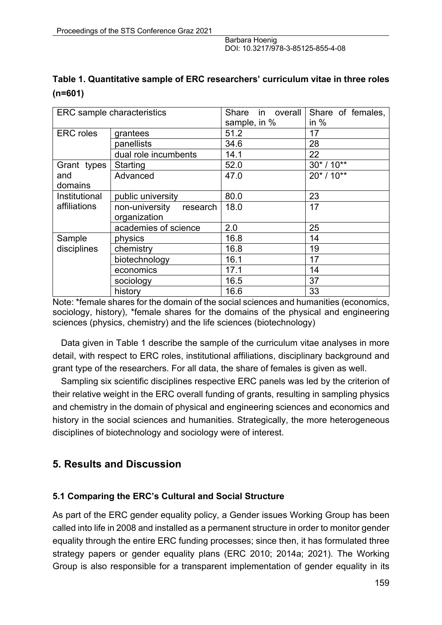| Table 1. Quantitative sample of ERC researchers' curriculum vitae in three roles |  |
|----------------------------------------------------------------------------------|--|
| $(n=601)$                                                                        |  |

| <b>ERC</b> sample characteristics |                            | Share<br>in overall<br>sample, in % | Share of females,<br>in $%$ |
|-----------------------------------|----------------------------|-------------------------------------|-----------------------------|
|                                   |                            |                                     |                             |
| <b>ERC</b> roles                  | grantees                   | 51.2                                | 17                          |
|                                   | panellists                 | 34.6                                | 28                          |
|                                   | dual role incumbents       | 14.1                                | 22                          |
| Grant types                       | Starting                   | 52.0                                | $30* / 10**$                |
| and                               | Advanced                   | 47.0                                | $20* / 10**$                |
| domains                           |                            |                                     |                             |
| Institutional                     | public university          | 80.0                                | 23                          |
| affiliations                      | non-university<br>research | 18.0                                | 17                          |
|                                   | organization               |                                     |                             |
|                                   | academies of science       | 2.0                                 | 25                          |
| Sample                            | physics                    | 16.8                                | 14                          |
| disciplines                       | chemistry                  | 16.8                                | 19                          |
|                                   | biotechnology              | 16.1                                | 17                          |
|                                   | economics                  | 17.1                                | 14                          |
|                                   | sociology                  | 16.5                                | 37                          |
|                                   | history                    | 16.6                                | 33                          |

Note: \*female shares for the domain of the social sciences and humanities (economics, sociology, history), \*female shares for the domains of the physical and engineering sciences (physics, chemistry) and the life sciences (biotechnology)

Data given in Table 1 describe the sample of the curriculum vitae analyses in more detail, with respect to ERC roles, institutional affiliations, disciplinary background and grant type of the researchers. For all data, the share of females is given as well.

Sampling six scientific disciplines respective ERC panels was led by the criterion of their relative weight in the ERC overall funding of grants, resulting in sampling physics and chemistry in the domain of physical and engineering sciences and economics and history in the social sciences and humanities. Strategically, the more heterogeneous disciplines of biotechnology and sociology were of interest.

## **5. Results and Discussion**

#### **5.1 Comparing the ERC's Cultural and Social Structure**

As part of the ERC gender equality policy, a Gender issues Working Group has been called into life in 2008 and installed as a permanent structure in order to monitor gender equality through the entire ERC funding processes; since then, it has formulated three strategy papers or gender equality plans (ERC 2010; 2014a; 2021). The Working Group is also responsible for a transparent implementation of gender equality in its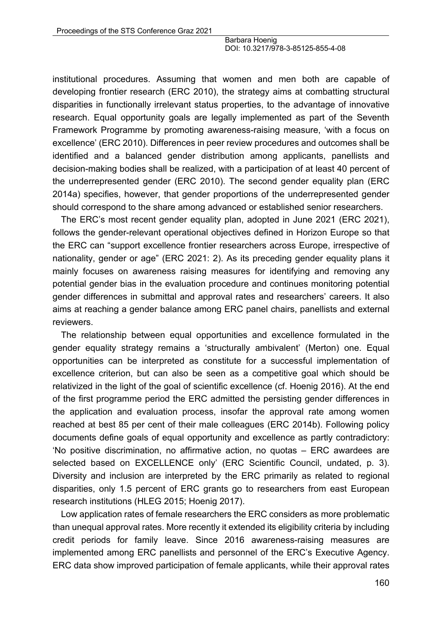institutional procedures. Assuming that women and men both are capable of developing frontier research (ERC 2010), the strategy aims at combatting structural disparities in functionally irrelevant status properties, to the advantage of innovative research. Equal opportunity goals are legally implemented as part of the Seventh Framework Programme by promoting awareness-raising measure, 'with a focus on excellence' (ERC 2010). Differences in peer review procedures and outcomes shall be identified and a balanced gender distribution among applicants, panellists and decision-making bodies shall be realized, with a participation of at least 40 percent of the underrepresented gender (ERC 2010). The second gender equality plan (ERC 2014a) specifies, however, that gender proportions of the underrepresented gender should correspond to the share among advanced or established senior researchers.

The ERC's most recent gender equality plan, adopted in June 2021 (ERC 2021), follows the gender-relevant operational objectives defined in Horizon Europe so that the ERC can "support excellence frontier researchers across Europe, irrespective of nationality, gender or age" (ERC 2021: 2). As its preceding gender equality plans it mainly focuses on awareness raising measures for identifying and removing any potential gender bias in the evaluation procedure and continues monitoring potential gender differences in submittal and approval rates and researchers' careers. It also aims at reaching a gender balance among ERC panel chairs, panellists and external reviewers.

The relationship between equal opportunities and excellence formulated in the gender equality strategy remains a 'structurally ambivalent' (Merton) one. Equal opportunities can be interpreted as constitute for a successful implementation of excellence criterion, but can also be seen as a competitive goal which should be relativized in the light of the goal of scientific excellence (cf. Hoenig 2016). At the end of the first programme period the ERC admitted the persisting gender differences in the application and evaluation process, insofar the approval rate among women reached at best 85 per cent of their male colleagues (ERC 2014b). Following policy documents define goals of equal opportunity and excellence as partly contradictory: 'No positive discrimination, no affirmative action, no quotas – ERC awardees are selected based on EXCELLENCE only' (ERC Scientific Council, undated, p. 3). Diversity and inclusion are interpreted by the ERC primarily as related to regional disparities, only 1.5 percent of ERC grants go to researchers from east European research institutions (HLEG 2015; Hoenig 2017).

Low application rates of female researchers the ERC considers as more problematic than unequal approval rates. More recently it extended its eligibility criteria by including credit periods for family leave. Since 2016 awareness-raising measures are implemented among ERC panellists and personnel of the ERC's Executive Agency. ERC data show improved participation of female applicants, while their approval rates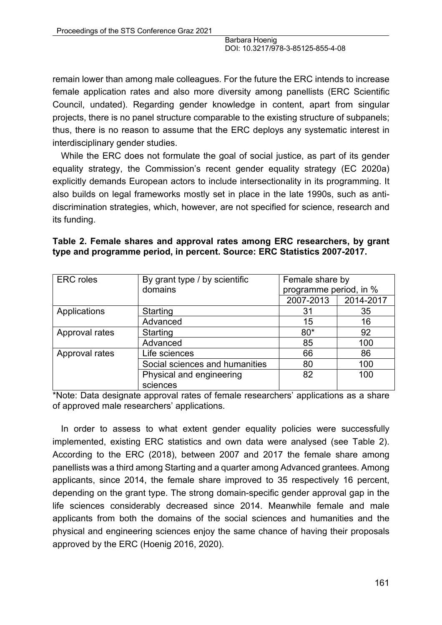remain lower than among male colleagues. For the future the ERC intends to increase female application rates and also more diversity among panellists (ERC Scientific Council, undated). Regarding gender knowledge in content, apart from singular projects, there is no panel structure comparable to the existing structure of subpanels; thus, there is no reason to assume that the ERC deploys any systematic interest in interdisciplinary gender studies.

While the ERC does not formulate the goal of social justice, as part of its gender equality strategy, the Commission's recent gender equality strategy (EC 2020a) explicitly demands European actors to include intersectionality in its programming. It also builds on legal frameworks mostly set in place in the late 1990s, such as antidiscrimination strategies, which, however, are not specified for science, research and its funding.

|  |  |  |  | Table 2. Female shares and approval rates among ERC researchers, by grant |  |
|--|--|--|--|---------------------------------------------------------------------------|--|
|  |  |  |  | type and programme period, in percent. Source: ERC Statistics 2007-2017.  |  |

| <b>ERC</b> roles | By grant type / by scientific  | Female share by        |           |  |
|------------------|--------------------------------|------------------------|-----------|--|
|                  | domains                        | programme period, in % |           |  |
|                  |                                | 2007-2013              | 2014-2017 |  |
| Applications     | Starting                       | 31                     | 35        |  |
|                  | Advanced                       | 15                     | 16        |  |
| Approval rates   | Starting                       | $80*$                  | 92        |  |
|                  | Advanced                       | 85                     | 100       |  |
| Approval rates   | Life sciences                  | 66                     | 86        |  |
|                  | Social sciences and humanities | 80                     | 100       |  |
|                  | Physical and engineering       | 82                     | 100       |  |
|                  | sciences                       |                        |           |  |

\*Note: Data designate approval rates of female researchers' applications as a share of approved male researchers' applications.

In order to assess to what extent gender equality policies were successfully implemented, existing ERC statistics and own data were analysed (see Table 2). According to the ERC (2018), between 2007 and 2017 the female share among panellists was a third among Starting and a quarter among Advanced grantees. Among applicants, since 2014, the female share improved to 35 respectively 16 percent, depending on the grant type. The strong domain-specific gender approval gap in the life sciences considerably decreased since 2014. Meanwhile female and male applicants from both the domains of the social sciences and humanities and the physical and engineering sciences enjoy the same chance of having their proposals approved by the ERC (Hoenig 2016, 2020).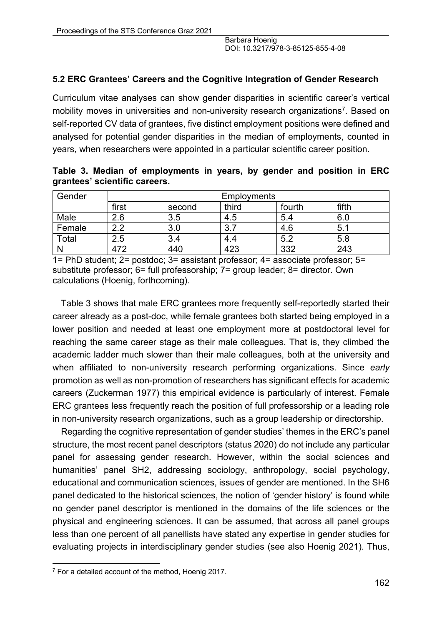#### **5.2 ERC Grantees' Careers and the Cognitive Integration of Gender Research**

Curriculum vitae analyses can show gender disparities in scientific career's vertical mobility moves in universities and non-university research organizations<sup>7</sup>. Based on self-reported CV data of grantees, five distinct employment positions were defined and analysed for potential gender disparities in the median of employments, counted in years, when researchers were appointed in a particular scientific career position.

**Table 3. Median of employments in years, by gender and position in ERC grantees' scientific careers.**

| Gender | <b>Employments</b> |        |       |        |       |
|--------|--------------------|--------|-------|--------|-------|
|        | first              | second | third | fourth | fifth |
| Male   | 2.6                | 3.5    | 4.5   | 5.4    | 6.0   |
| Female | 2.2                | 3.0    | 3.7   | 4.6    | 5.1   |
| Total  | 2.5                | 3.4    | 4.4   | 5.2    | 5.8   |
|        | 472                | 440    | 423   | 332    | 243   |

1= PhD student; 2= postdoc; 3= assistant professor; 4= associate professor; 5= substitute professor; 6= full professorship; 7= group leader; 8= director. Own calculations (Hoenig, forthcoming).

Table 3 shows that male ERC grantees more frequently self-reportedly started their career already as a post-doc, while female grantees both started being employed in a lower position and needed at least one employment more at postdoctoral level for reaching the same career stage as their male colleagues. That is, they climbed the academic ladder much slower than their male colleagues, both at the university and when affiliated to non-university research performing organizations. Since *early* promotion as well as non-promotion of researchers has significant effects for academic careers (Zuckerman 1977) this empirical evidence is particularly of interest. Female ERC grantees less frequently reach the position of full professorship or a leading role in non-university research organizations, such as a group leadership or directorship.

Regarding the cognitive representation of gender studies' themes in the ERC's panel structure, the most recent panel descriptors (status 2020) do not include any particular panel for assessing gender research. However, within the social sciences and humanities' panel SH2, addressing sociology, anthropology, social psychology, educational and communication sciences, issues of gender are mentioned. In the SH6 panel dedicated to the historical sciences, the notion of 'gender history' is found while no gender panel descriptor is mentioned in the domains of the life sciences or the physical and engineering sciences. It can be assumed, that across all panel groups less than one percent of all panellists have stated any expertise in gender studies for evaluating projects in interdisciplinary gender studies (see also Hoenig 2021). Thus,

 $7$  For a detailed account of the method, Hoenig 2017.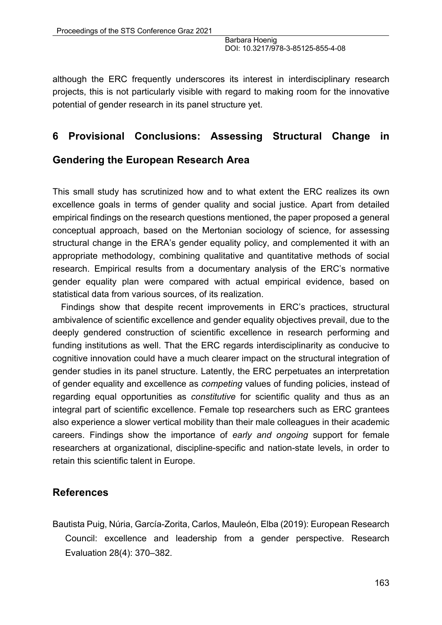although the ERC frequently underscores its interest in interdisciplinary research projects, this is not particularly visible with regard to making room for the innovative potential of gender research in its panel structure yet.

## **6 Provisional Conclusions: Assessing Structural Change in**

#### **Gendering the European Research Area**

This small study has scrutinized how and to what extent the ERC realizes its own excellence goals in terms of gender quality and social justice. Apart from detailed empirical findings on the research questions mentioned, the paper proposed a general conceptual approach, based on the Mertonian sociology of science, for assessing structural change in the ERA's gender equality policy, and complemented it with an appropriate methodology, combining qualitative and quantitative methods of social research. Empirical results from a documentary analysis of the ERC's normative gender equality plan were compared with actual empirical evidence, based on statistical data from various sources, of its realization.

Findings show that despite recent improvements in ERC's practices, structural ambivalence of scientific excellence and gender equality objectives prevail, due to the deeply gendered construction of scientific excellence in research performing and funding institutions as well. That the ERC regards interdisciplinarity as conducive to cognitive innovation could have a much clearer impact on the structural integration of gender studies in its panel structure. Latently, the ERC perpetuates an interpretation of gender equality and excellence as *competing* values of funding policies, instead of regarding equal opportunities as *constitutive* for scientific quality and thus as an integral part of scientific excellence. Female top researchers such as ERC grantees also experience a slower vertical mobility than their male colleagues in their academic careers. Findings show the importance of *early and ongoing* support for female researchers at organizational, discipline-specific and nation-state levels, in order to retain this scientific talent in Europe.

#### **References**

Bautista Puig, Núria, García-Zorita, Carlos, Mauleón, Elba (2019): European Research Council: excellence and leadership from a gender perspective. Research Evaluation 28(4): 370–382.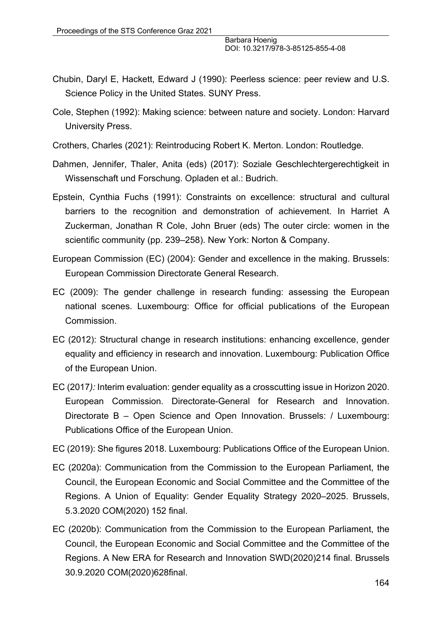- Chubin, Daryl E, Hackett, Edward J (1990): Peerless science: peer review and U.S. Science Policy in the United States. SUNY Press.
- Cole, Stephen (1992): Making science: between nature and society. London: Harvard University Press.
- Crothers, Charles (2021): Reintroducing Robert K. Merton. London: Routledge.
- Dahmen, Jennifer, Thaler, Anita (eds) (2017): Soziale Geschlechtergerechtigkeit in Wissenschaft und Forschung. Opladen et al.: Budrich.
- Epstein, Cynthia Fuchs (1991): Constraints on excellence: structural and cultural barriers to the recognition and demonstration of achievement. In Harriet A Zuckerman, Jonathan R Cole, John Bruer (eds) The outer circle: women in the scientific community (pp. 239–258). New York: Norton & Company.
- European Commission (EC) (2004): Gender and excellence in the making. Brussels: European Commission Directorate General Research.
- EC (2009): The gender challenge in research funding: assessing the European national scenes. Luxembourg: Office for official publications of the European Commission.
- EC (2012): Structural change in research institutions: enhancing excellence, gender equality and efficiency in research and innovation. Luxembourg: Publication Office of the European Union.
- EC (2017*):* Interim evaluation: gender equality as a crosscutting issue in Horizon 2020. European Commission. Directorate-General for Research and Innovation. Directorate B – Open Science and Open Innovation. Brussels: / Luxembourg: Publications Office of the European Union.
- EC (2019): She figures 2018. Luxembourg: Publications Office of the European Union.
- EC (2020a): Communication from the Commission to the European Parliament, the Council, the European Economic and Social Committee and the Committee of the Regions. A Union of Equality: Gender Equality Strategy 2020–2025. Brussels, 5.3.2020 COM(2020) 152 final.
- EC (2020b): Communication from the Commission to the European Parliament, the Council, the European Economic and Social Committee and the Committee of the Regions. A New ERA for Research and Innovation SWD(2020)214 final. Brussels 30.9.2020 COM(2020)628final.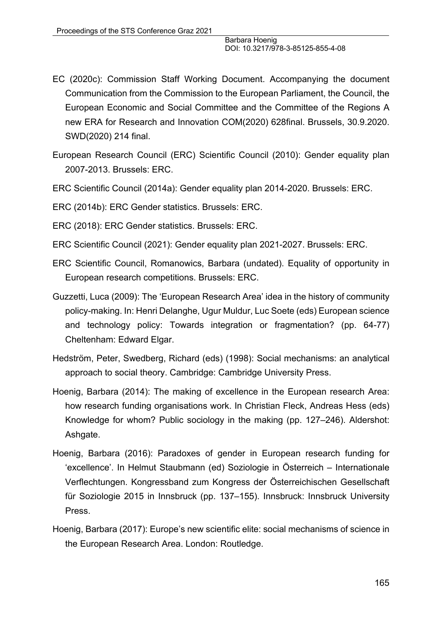- EC (2020c): Commission Staff Working Document. Accompanying the document Communication from the Commission to the European Parliament, the Council, the European Economic and Social Committee and the Committee of the Regions A new ERA for Research and Innovation COM(2020) 628final. Brussels, 30.9.2020. SWD(2020) 214 final.
- European Research Council (ERC) Scientific Council (2010): Gender equality plan 2007-2013. Brussels: ERC.
- ERC Scientific Council (2014a): Gender equality plan 2014-2020. Brussels: ERC.

ERC (2014b): ERC Gender statistics. Brussels: ERC.

- ERC (2018): ERC Gender statistics. Brussels: ERC.
- ERC Scientific Council (2021): Gender equality plan 2021-2027. Brussels: ERC.
- ERC Scientific Council, Romanowics, Barbara (undated). Equality of opportunity in European research competitions. Brussels: ERC.
- Guzzetti, Luca (2009): The 'European Research Area' idea in the history of community policy-making. In: Henri Delanghe, Ugur Muldur, Luc Soete (eds) European science and technology policy: Towards integration or fragmentation? (pp. 64-77) Cheltenham: Edward Elgar.
- Hedström, Peter, Swedberg, Richard (eds) (1998): Social mechanisms: an analytical approach to social theory. Cambridge: Cambridge University Press.
- Hoenig, Barbara (2014): The making of excellence in the European research Area: how research funding organisations work. In Christian Fleck, Andreas Hess (eds) Knowledge for whom? Public sociology in the making (pp. 127–246). Aldershot: Ashgate.
- Hoenig, Barbara (2016): Paradoxes of gender in European research funding for 'excellence'. In Helmut Staubmann (ed) Soziologie in Österreich – Internationale Verflechtungen. Kongressband zum Kongress der Österreichischen Gesellschaft für Soziologie 2015 in Innsbruck (pp. 137–155). Innsbruck: Innsbruck University Press.
- Hoenig, Barbara (2017): Europe's new scientific elite: social mechanisms of science in the European Research Area. London: Routledge.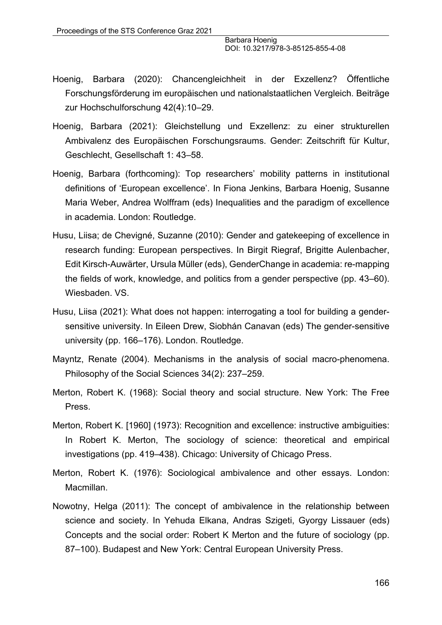- Hoenig, Barbara (2020): Chancengleichheit in der Exzellenz? Öffentliche Forschungsförderung im europäischen und nationalstaatlichen Vergleich. Beiträge zur Hochschulforschung 42(4):10–29.
- Hoenig, Barbara (2021): Gleichstellung und Exzellenz: zu einer strukturellen Ambivalenz des Europäischen Forschungsraums. Gender: Zeitschrift für Kultur, Geschlecht, Gesellschaft 1: 43–58.
- Hoenig, Barbara (forthcoming): Top researchers' mobility patterns in institutional definitions of 'European excellence'. In Fiona Jenkins, Barbara Hoenig, Susanne Maria Weber, Andrea Wolffram (eds) Inequalities and the paradigm of excellence in academia. London: Routledge.
- Husu, Liisa; de Chevigné, Suzanne (2010): Gender and gatekeeping of excellence in research funding: European perspectives. In Birgit Riegraf, Brigitte Aulenbacher, Edit Kirsch-Auwärter, Ursula Müller (eds), GenderChange in academia: re-mapping the fields of work, knowledge, and politics from a gender perspective (pp. 43–60). Wiesbaden. VS.
- Husu, Liisa (2021): What does not happen: interrogating a tool for building a gendersensitive university. In Eileen Drew, Siobhán Canavan (eds) The gender-sensitive university (pp. 166–176). London. Routledge.
- Mayntz, Renate (2004). Mechanisms in the analysis of social macro-phenomena. Philosophy of the Social Sciences 34(2): 237–259.
- Merton, Robert K. (1968): Social theory and social structure. New York: The Free Press.
- Merton, Robert K. [1960] (1973): Recognition and excellence: instructive ambiguities: In Robert K. Merton, The sociology of science: theoretical and empirical investigations (pp. 419–438). Chicago: University of Chicago Press.
- Merton, Robert K. (1976): Sociological ambivalence and other essays. London: Macmillan.
- Nowotny, Helga (2011): The concept of ambivalence in the relationship between science and society. In Yehuda Elkana, Andras Szigeti, Gyorgy Lissauer (eds) Concepts and the social order: Robert K Merton and the future of sociology (pp. 87–100). Budapest and New York: Central European University Press.